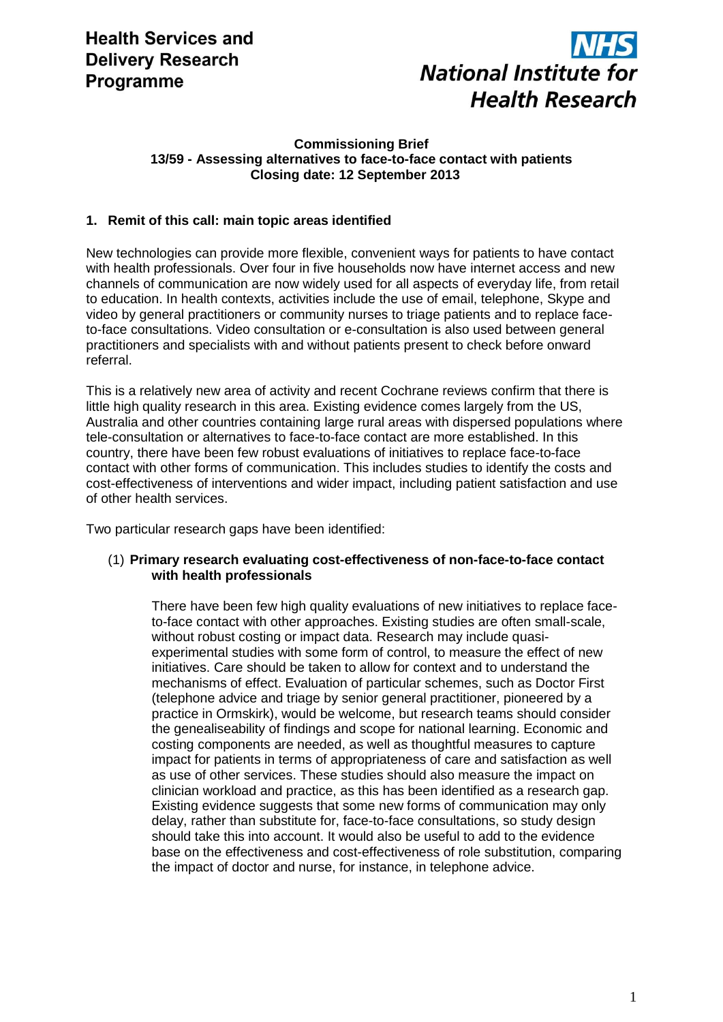

### **Commissioning Brief 13/59 - Assessing alternatives to face-to-face contact with patients Closing date: 12 September 2013**

# **1. Remit of this call: main topic areas identified**

New technologies can provide more flexible, convenient ways for patients to have contact with health professionals. Over four in five households now have internet access and new channels of communication are now widely used for all aspects of everyday life, from retail to education. In health contexts, activities include the use of email, telephone, Skype and video by general practitioners or community nurses to triage patients and to replace faceto-face consultations. Video consultation or e-consultation is also used between general practitioners and specialists with and without patients present to check before onward referral.

This is a relatively new area of activity and recent Cochrane reviews confirm that there is little high quality research in this area. Existing evidence comes largely from the US, Australia and other countries containing large rural areas with dispersed populations where tele-consultation or alternatives to face-to-face contact are more established. In this country, there have been few robust evaluations of initiatives to replace face-to-face contact with other forms of communication. This includes studies to identify the costs and cost-effectiveness of interventions and wider impact, including patient satisfaction and use of other health services.

Two particular research gaps have been identified:

#### (1) **Primary research evaluating cost-effectiveness of non-face-to-face contact with health professionals**

There have been few high quality evaluations of new initiatives to replace faceto-face contact with other approaches. Existing studies are often small-scale, without robust costing or impact data. Research may include quasiexperimental studies with some form of control, to measure the effect of new initiatives. Care should be taken to allow for context and to understand the mechanisms of effect. Evaluation of particular schemes, such as Doctor First (telephone advice and triage by senior general practitioner, pioneered by a practice in Ormskirk), would be welcome, but research teams should consider the genealiseability of findings and scope for national learning. Economic and costing components are needed, as well as thoughtful measures to capture impact for patients in terms of appropriateness of care and satisfaction as well as use of other services. These studies should also measure the impact on clinician workload and practice, as this has been identified as a research gap. Existing evidence suggests that some new forms of communication may only delay, rather than substitute for, face-to-face consultations, so study design should take this into account. It would also be useful to add to the evidence base on the effectiveness and cost-effectiveness of role substitution, comparing the impact of doctor and nurse, for instance, in telephone advice.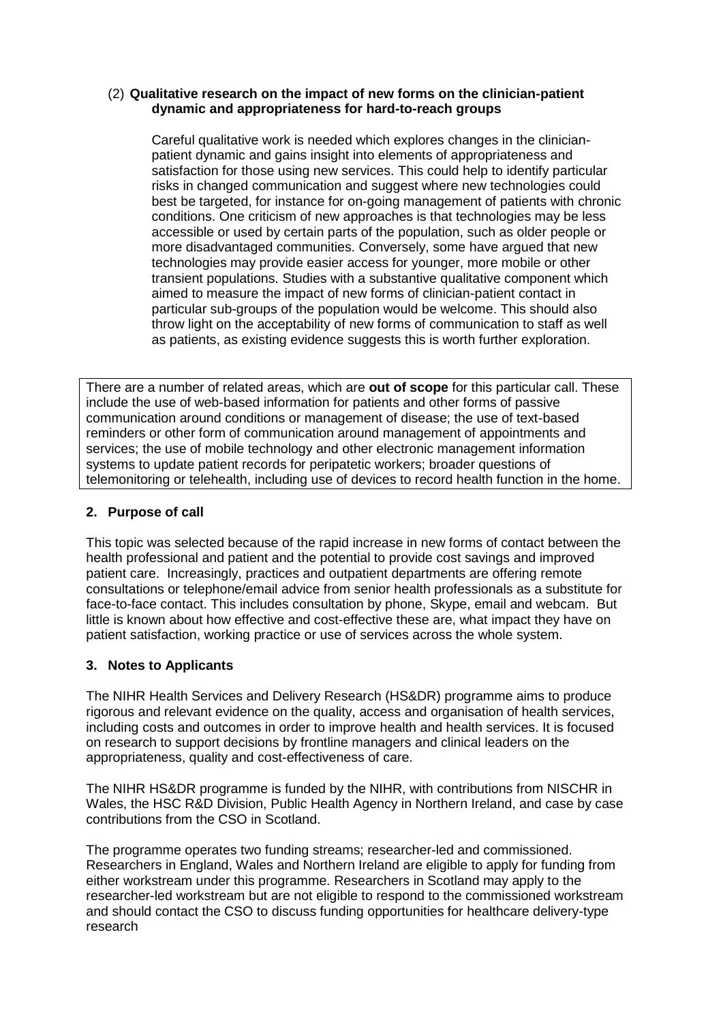### (2) **Qualitative research on the impact of new forms on the clinician-patient dynamic and appropriateness for hard-to-reach groups**

Careful qualitative work is needed which explores changes in the clinicianpatient dynamic and gains insight into elements of appropriateness and satisfaction for those using new services. This could help to identify particular risks in changed communication and suggest where new technologies could best be targeted, for instance for on-going management of patients with chronic conditions. One criticism of new approaches is that technologies may be less accessible or used by certain parts of the population, such as older people or more disadvantaged communities. Conversely, some have argued that new technologies may provide easier access for younger, more mobile or other transient populations. Studies with a substantive qualitative component which aimed to measure the impact of new forms of clinician-patient contact in particular sub-groups of the population would be welcome. This should also throw light on the acceptability of new forms of communication to staff as well as patients, as existing evidence suggests this is worth further exploration.

There are a number of related areas, which are **out of scope** for this particular call. These include the use of web-based information for patients and other forms of passive communication around conditions or management of disease; the use of text-based reminders or other form of communication around management of appointments and services; the use of mobile technology and other electronic management information systems to update patient records for peripatetic workers; broader questions of telemonitoring or telehealth, including use of devices to record health function in the home.

# **2. Purpose of call**

This topic was selected because of the rapid increase in new forms of contact between the health professional and patient and the potential to provide cost savings and improved patient care. Increasingly, practices and outpatient departments are offering remote consultations or telephone/email advice from senior health professionals as a substitute for face-to-face contact. This includes consultation by phone, Skype, email and webcam. But little is known about how effective and cost-effective these are, what impact they have on patient satisfaction, working practice or use of services across the whole system.

### **3. Notes to Applicants**

The NIHR Health Services and Delivery Research (HS&DR) programme aims to produce rigorous and relevant evidence on the quality, access and organisation of health services, including costs and outcomes in order to improve health and health services. It is focused on research to support decisions by frontline managers and clinical leaders on the appropriateness, quality and cost-effectiveness of care.

The NIHR HS&DR programme is funded by the NIHR, with contributions from NISCHR in Wales, the HSC R&D Division, Public Health Agency in Northern Ireland, and case by case contributions from the CSO in Scotland.

The programme operates two funding streams; researcher-led and commissioned. Researchers in England, Wales and Northern Ireland are eligible to apply for funding from either workstream under this programme. Researchers in Scotland may apply to the researcher-led workstream but are not eligible to respond to the commissioned workstream and should contact the CSO to discuss funding opportunities for healthcare delivery-type research